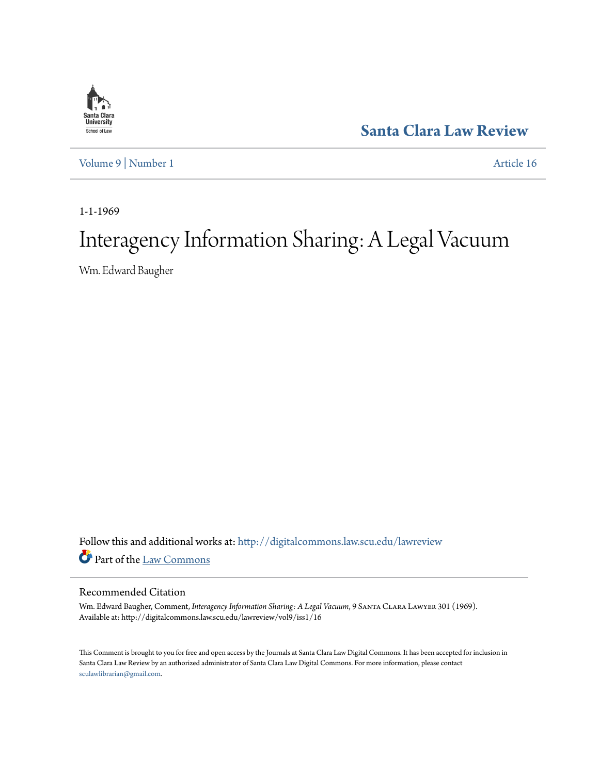

**[Santa Clara Law Review](http://digitalcommons.law.scu.edu/lawreview?utm_source=digitalcommons.law.scu.edu%2Flawreview%2Fvol9%2Fiss1%2F16&utm_medium=PDF&utm_campaign=PDFCoverPages)**

[Volume 9](http://digitalcommons.law.scu.edu/lawreview/vol9?utm_source=digitalcommons.law.scu.edu%2Flawreview%2Fvol9%2Fiss1%2F16&utm_medium=PDF&utm_campaign=PDFCoverPages) | [Number 1](http://digitalcommons.law.scu.edu/lawreview/vol9/iss1?utm_source=digitalcommons.law.scu.edu%2Flawreview%2Fvol9%2Fiss1%2F16&utm_medium=PDF&utm_campaign=PDFCoverPages) [Article 16](http://digitalcommons.law.scu.edu/lawreview/vol9/iss1/16?utm_source=digitalcommons.law.scu.edu%2Flawreview%2Fvol9%2Fiss1%2F16&utm_medium=PDF&utm_campaign=PDFCoverPages)

1-1-1969

# Interagency Information Sharing: A Legal Vacuum

Wm. Edward Baugher

Follow this and additional works at: [http://digitalcommons.law.scu.edu/lawreview](http://digitalcommons.law.scu.edu/lawreview?utm_source=digitalcommons.law.scu.edu%2Flawreview%2Fvol9%2Fiss1%2F16&utm_medium=PDF&utm_campaign=PDFCoverPages) Part of the [Law Commons](http://network.bepress.com/hgg/discipline/578?utm_source=digitalcommons.law.scu.edu%2Flawreview%2Fvol9%2Fiss1%2F16&utm_medium=PDF&utm_campaign=PDFCoverPages)

## Recommended Citation

Wm. Edward Baugher, Comment, *Interagency Information Sharing: A Legal Vacuum*, 9 Santa Clara Lawyer 301 (1969). Available at: http://digitalcommons.law.scu.edu/lawreview/vol9/iss1/16

This Comment is brought to you for free and open access by the Journals at Santa Clara Law Digital Commons. It has been accepted for inclusion in Santa Clara Law Review by an authorized administrator of Santa Clara Law Digital Commons. For more information, please contact [sculawlibrarian@gmail.com](mailto:sculawlibrarian@gmail.com).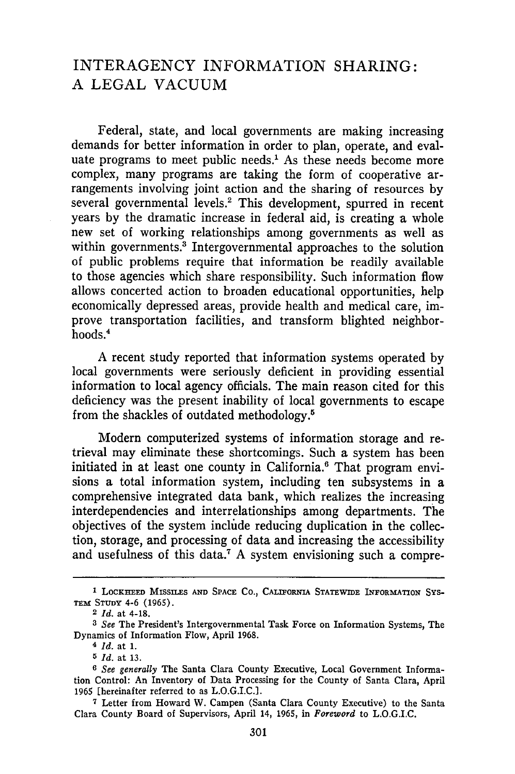## INTERAGENCY INFORMATION SHARING: A LEGAL VACUUM

Federal, state, and local governments are making increasing demands for better information in order to plan, operate, and evaluate programs to meet public needs.<sup>1</sup> As these needs become more complex, many programs are taking the form of cooperative arrangements involving joint action and the sharing of resources by several governmental levels.2 This development, spurred in recent years by the dramatic increase in federal aid, is creating a whole new set of working relationships among governments as well as within governments.<sup>3</sup> Intergovernmental approaches to the solution of public problems require that information be readily available to those agencies which share responsibility. Such information flow allows concerted action to broaden educational opportunities, help economically depressed areas, provide health and medical care, improve transportation facilities, and transform blighted neighborhoods.<sup>4</sup>

A recent study reported that information systems operated by local governments were seriously deficient in providing essential information to local agency officials. The main reason cited for this deficiency was the present inability of local governments to escape from the shackles of outdated methodology. <sup>5</sup>

Modern computerized systems of information storage and retrieval may eliminate these shortcomings. Such a system has been initiated in at least one county in California.<sup>6</sup> That program envisions a total information system, including ten subsystems in a comprehensive integrated data bank, which realizes the increasing interdependencies and interrelationships among departments. The objectives of the system include reducing duplication in the collection, storage, and processing of data and increasing the accessibility and usefulness of this data.<sup>7</sup> A system envisioning such a compre-

**I LOCKHEED** MISSILES **AND SPACE Co., CALIFORNIA STATEWIDE** INFORMATION **SYS-**TEM STUDY 4-6 (1965).

<sup>2</sup> *Id.* at 4-18.

*<sup>3</sup> See* The President's Intergovernmental Task Force on Information Systems, The Dynamics of Information Flow, April 1968.

**<sup>4</sup>***Id.* at 1.

*<sup>5</sup> Id.* at 13.

*<sup>6</sup> See generally* The Santa Clara County Executive, Local Government Information Control: An Inventory of Data Processing for the County of Santa Clara, April 1965 [hereinafter referred to as L.O.G.I.C.].

**<sup>7</sup>**Letter from Howard W. Campen (Santa Clara County Executive) to the Santa Clara County Board of Supervisors, April 14, 1965, in *Foreword* to L.O.G.I.C.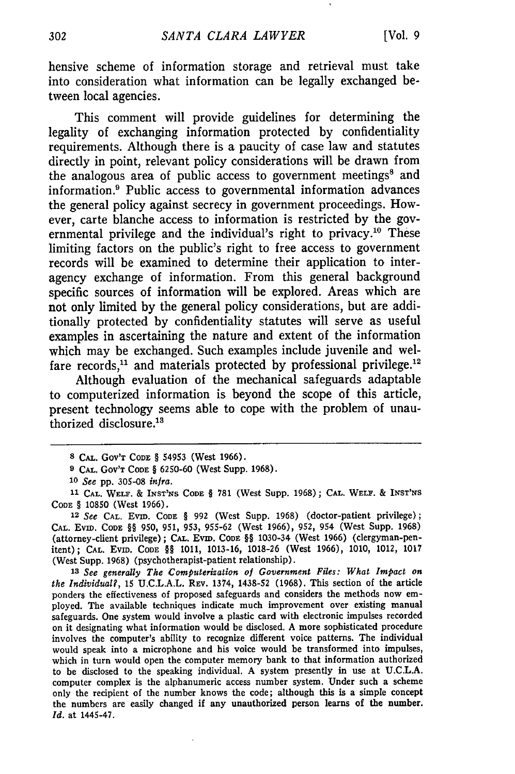hensive scheme of information storage and retrieval must take into consideration what information can be legally exchanged between local agencies.

This comment will provide guidelines for determining the legality of exchanging information protected by confidentiality requirements. Although there is a paucity of case law and statutes directly in point, relevant policy considerations will be drawn from the analogous area of public access to government meetings<sup>8</sup> and information.<sup>9</sup> Public access to governmental information advances the general policy against secrecy in government proceedings. However, carte blanche access to information is restricted by the governmental privilege and the individual's right to privacy.<sup>10</sup> These limiting factors on the public's right to free access to government records will be examined to determine their application to interagency exchange of information. From this general background specific sources of information will be explored. Areas which are not only limited by the general policy considerations, but are additionally protected by confidentiality statutes will serve as useful examples in ascertaining the nature and extent of the information which may be exchanged. Such examples include juvenile and welfare records,<sup>11</sup> and materials protected by professional privilege.<sup>12</sup>

Although evaluation of the mechanical safeguards adaptable to computerized information is beyond the scope of this article, present technology seems able to cope with the problem of unauthorized disclosure.<sup>13</sup>

**9 CAL.** GOV'T CODE § 6250-60 (West Supp. 1968).

**12** *See* **CAL.** EviD. CODE § 992 (West Supp. 1968) (doctor-patient privilege); **CAL.** EvID. CODE §§ 950, 951, 953, 955-62 (West 1966), 952, 954 (West Supp. 1968) (attorney-client privilege) **;** CAL. Evm. **CODE** §§ 1030-34 (West 1966) (clergyman-penitent); **CAL.** Evm. CODE §§ 1011, 1013-16, 1018-26 (West 1966), 1010, 1012, 1017 (West Supp. 1968) (psychotherapist-patient relationship).

*<sup>13</sup>See generally The Computerization of Government Files: What Impact on the Individual?,* **15** U.C.L.A.L. REv. 1374, 1438-52 (1968). This section of the article ponders the effectiveness of proposed safeguards and considers the methods now employed. The available techniques indicate much improvement over existing manual safeguards. One system would involve a plastic card with electronic impulses recorded on it designating what information would be disclosed. A more sophisticated procedure involves the computer's ability to recognize different voice patterns. The individual would speak into a microphone and his voice would be transformed into impulses, which in turn would open the computer memory bank to that information authorized to be disclosed to the speaking individual. A system presently in use at U.C.L.A. computer complex is the alphanumeric access number system. Under such a scheme only the recipient of the number knows the code; although this is a simple concept the numbers are easily changed if any unauthorized person learns of the number. *Id.* at 1445-47.

**<sup>8</sup> CAL.** GOV'T **CODE** § 54953 (West **1966).**

*<sup>10</sup> See* **pp.** 305-08 *infra.*

**<sup>11</sup> CAL.** WELF. & INST'Ss **CODE** § **781** (West Supp. **1968); CAL.** WELF. & **INsT'Ns CODE** § 10850 (West 1966).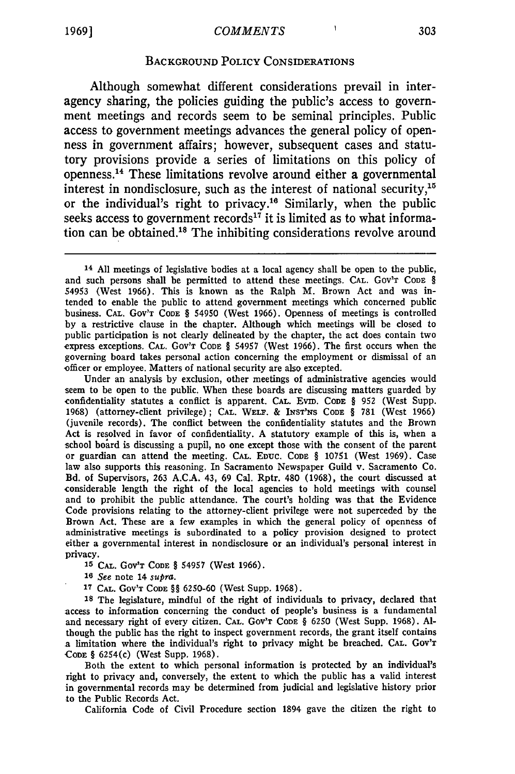f,

#### **BACKGROUND** POLICY CONSIDERATIONS

Although somewhat different considerations prevail in interagency sharing, the policies guiding the public's access to government meetings and records seem to be seminal principles. Public access to government meetings advances the general policy of openness in government affairs; however, subsequent cases and statutory provisions provide a series of limitations on this policy of openness.<sup>14</sup> These limitations revolve around either a governmental interest in nondisclosure, such as the interest of national security, $15$ or the individual's right to privacy.'6 Similarly, when the public seeks access to government records<sup>17</sup> it is limited as to what information can be obtained.<sup>18</sup> The inhibiting considerations revolve around

Under an analysis by exclusion, other meetings of administrative agencies would seem to be open to the public. When these boards are discussing matters guarded by confidentiality statutes a conflict is apparent. **CAL.** Evm. **CODE** § 952 (West Supp. 1968) (attorney-client privilege); **CAL.** WELa. & **INST'N-S** CODE § 781 (West 1966) (juvenile records). The conflict between the confidentiality statutes and the Brown Act is resolved in favor of confidentiality. A statutory example of this is, when a school board is discussing a pupil, no one except those with the consent of the parent or guardian can attend the meeting. **CAL. EDUC.** CODE § 10751 (West 1969). Case law also supports this reasoning. In Sacramento Newspaper Guild v. Sacramento Co. Bd. of Supervisors, 263 A.CA. 43, 69 Cal. Rptr. 480 **(1968),** the court discussed at considerable length the right of the local agencies to hold meetings with counsel and to prohibit the public attendance. The court's holding was that the Evidence Code provisions relating to the attorney-client privilege were not superceded by the Brown Act. These are a few examples in which the general policy of openness of administrative meetings is subordinated to a policy provision designed to protect either a governmental interest in nondisclosure or an individual's personal interest in privacy.

**15 CAL.** GOV'T **CODE** § 54957 (West **1966).**

*16 See* note 14 *supra.*

**17 CAL.** GOV'T **CODE** §§ 6250-60 (West Supp. 1968).

**<sup>1</sup>**The legislature, mindful of the right of individuals to privacy, declared that access to information concerning the conduct of people's business is a fundamental and necessary right of every citizen. **CAL.** GOV'T CODE § 6250 (West Supp. 1968). Although the public has the right to inspect government records, the grant itself contains a limitation where the individual's right to privacy might be breached. **CAL.** GOV'T CODE § 6254(c) (West Supp. 1968).

Both the extent to which personal information is protected by an individual's right to privacy and, conversely, the extent to which the public has a valid interest in governmental records may be determined from judicial and legislative history prior to the Public Records Act.

California Code of Civil Procedure section 1894 gave the citizen the right to

**<sup>14</sup> All** meetings of legislative bodies at a local agency shall be open to the public, and such persons shall be permitted to attend these meetings. CAL. GOV'T **CODE** § 54953 (West 1966). This is known as the Ralph M. Brown Act and was intended to enable the public to attend government meetings which concerned public business. **CAL.** GOV'T **CODE** § 54950 (West 1966). Openness of meetings is controlled by a restrictive clause in the chapter. Although which meetings will be closed to public participation is not clearly delineated by the chapter, the act does contain two express exceptions. CAL. Gov'r Code § 54957 (West 1966). The first occurs when the governing board takes personal action concerning the employment or dismissal of an Officer or employee. Matters of national security are also excepted.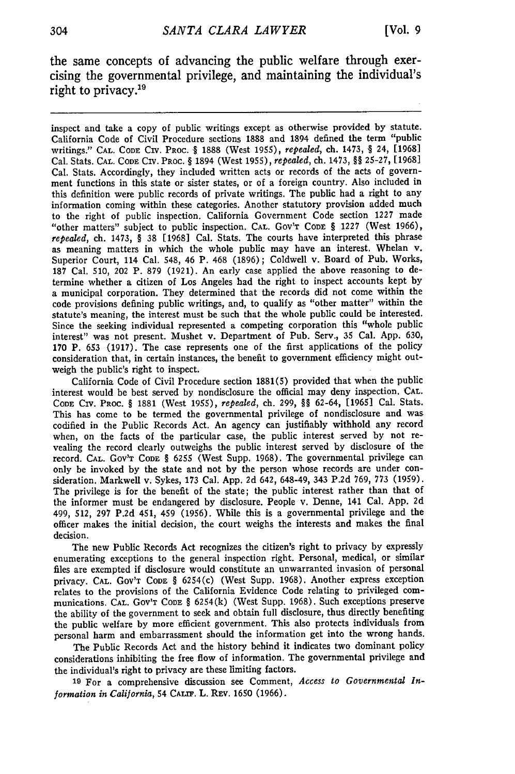the same concepts of advancing the public welfare through exercising the governmental privilege, and maintaining the individual's right to privacy.<sup>19</sup>

inspect and take a copy of public writings except as otherwise provided by statute. California Code of Civil Procedure sections 1888 and 1894 defined the term "public writings." **CAL. CODE CIv.** PRoc. **§** 1888 (West 1955), *repealed,* ch. 1473, § 24, [19681 Cal. Stats. CAL. **CODE** CIV. PROC. § 1894 (West 1955), *repealed,* ch. 1473, §§ 25-27, [1968] Cal. Stats. Accordingly, they included written acts or records of the acts of government functions in this state or sister states, or of a foreign country. Also included in this definition were public records of private writings. The public had a right to any information coming within these categories. Another statutory provision added much to the right of public inspection. California Government Code section 1227 made "other matters" subject to public inspection. CAL. Gov'r CoDE § 1227 (West 1966), *repealed,* ch. 1473, § 38 [1968] Cal. Stats. The courts have interpreted this phrase as meaning matters in which the whole public may have an interest. Whelan v. Superior Court, 114 Cal. 548, 46 P. 468 (1896); Coldwell v. Board of Pub. Works, 187 Cal. 510, 202 P. 879 (1921). An early case applied the above reasoning to determine whether a citizen of Los Angeles bad the right to inspect accounts kept by a municipal corporation. They determined that the records did not come within the code provisions defining public writings, and, to qualify as "other matter" within the statute's meaning, the interest must be such that the whole public could be interested. Since the seeking individual represented a competing corporation this "whole public interest" was not present. Mushet v. Department of Pub. Serv., 35 Cal. App. 630, 170 P. 653 (1917). The case represents one of the first applications of the policy consideration that, in certain instances, the benefit to government efficiency might outweigh the public's right to inspect.

California Code of Civil Procedure section 1881(5) provided that when the public interest would be best served by nondisclosure the official may deny inspection. **CAL. CODE** CIV. PROC. § 1881 (West 1955), *repealed,* ch. 299, §§ 62-64, [19651 Cal. Stats. This has come to be termed the governmental privilege of nondisclosure and was codified in the Public Records Act. An agency can justifiably withhold any record when, on the facts of the particular case, the public interest served by not revealing the record clearly outweighs the public interest served by disclosure of the record. **CAL.** Gov'T **CODE** § 6255 (West Supp. 1968). The governmental privilege can only be invoked by the state and not by the person whose records are under consideration. Markwell v. Sykes, 173 Cal. App. 2d 642, 648-49, 343 P.2d 769, 773 (1959). The privilege is for the benefit of the state; the public interest rather than that of the informer must be endangered by disclosure. People v. Denne, 141 Cal. **App.** 2d 499, 512, 297 P.2d 451, 459 (1956). While this is a governmental privilege and the officer makes the initial decision, the court weighs the interests and makes the final decision.

The new Public Records Act recognizes the citizen's right to privacy by expressly enumerating exceptions to the general inspection right. Personal, medical, or similar files are exempted if disclosure would constitute an unwarranted invasion of personal privacy. **CAL.** GOV'T **CODE** § 6254(c) (West Supp. 1968). Another express exception relates to the provisions of the California Evidence Code relating to privileged communications. **CAL.** GOv'T **CODE** § 6254(k) (West Supp. 1968). Such exceptions preserve the ability of the government to seek and obtain full disclosure, thus directly benefiting the public welfare by more efficient government. This also protects individuals from personal harm and embarrassment should the information get into the wrong hands.

The Public Records Act and the history behind it indicates two dominant policy considerations inhibiting the free flow of information. The governmental privilege and the individual's right to privacy are these limiting factors.

**19** For a comprehensive discussion see Comment, *Access to Governmental Information in California,* 54 **CALM.** L. **REV.** 1650 (1966).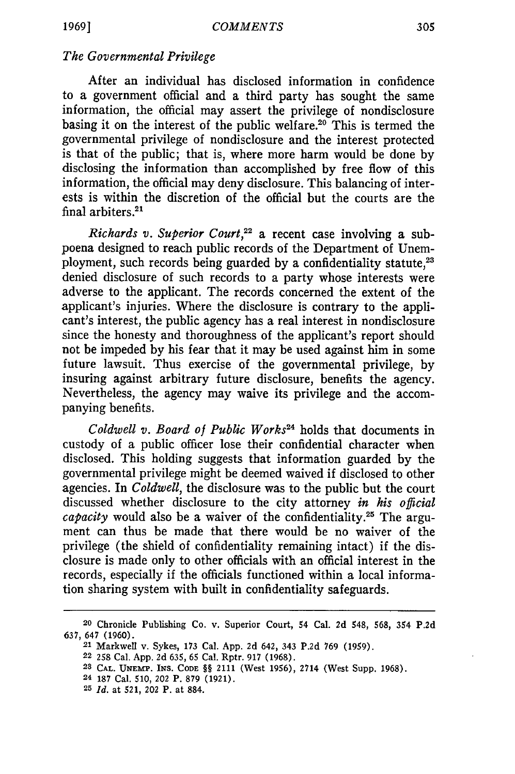## *The Governmental Privilege*

After an individual has disclosed information in confidence to a government official and a third party has sought the same information, the official may assert the privilege of nondisclosure basing it on the interest of the public welfare.20 This is termed the governmental privilege of nondisclosure and the interest protected is that of the public; that is, where more harm would be done by disclosing the information than accomplished by free flow of this information, the official may deny disclosure. This balancing of interests is within the discretion of the official but the courts are the final arbiters.<sup>21</sup>

*Richards v. Superior Court*,<sup>22</sup> a recent case involving a subpoena designed to reach public records of the Department of Unemployment, such records being guarded by a confidentiality statute,<sup>23</sup> denied disclosure of such records to a party whose interests were adverse to the applicant. The records concerned the extent of the applicant's injuries. Where the disclosure is contrary to the applicant's interest, the public agency has a real interest in nondisclosure since the honesty and thoroughness of the applicant's report should not be impeded by his fear that it may be used against him in some future lawsuit. Thus exercise of the governmental privilege, by insuring against arbitrary future disclosure, benefits the agency. Nevertheless, the agency may waive its privilege and the accompanying benefits.

*Coldwell v. Board of Public Works*<sup>24</sup> holds that documents in custody of a public officer lose their confidential character when disclosed. This holding suggests that information guarded **by** the governmental privilege might be deemed waived if disclosed to other agencies. In *Coldwell,* the disclosure was to the public but the court discussed whether disclosure to the city attorney *in his official capacity* would also be a waiver of the confidentiality.<sup>25</sup> The argument can thus be made that there would be no waiver of the privilege (the shield of confidentiality remaining intact) if the disclosure is made only to other officials with an official interest in the records, especially if the officials functioned within a local information sharing system with built in confidentiality safeguards.

**<sup>20</sup>** Chronicle Publishing Co. v. Superior Court, 54 Cal. 2d 548, **568,** 354 P.2d **637,** 647 (1960). 21 Markwell v. Sykes, **173** Cal. App. 2d 642, 343 P.2d 769 (1959).

**<sup>22</sup>** 258 Cal. App. 2d 635, 65 Cal. Rptr. 917 (1968).

**<sup>23</sup> CAL. UNEMP'. INS. CODE** §§ 2111 (West 1956), 2714 (West Supp. 1968).

**<sup>24 187</sup>** Cal. 510, 202 P. 879 (1921).

**<sup>25</sup>***Id.* at 521, 202 P. at 884.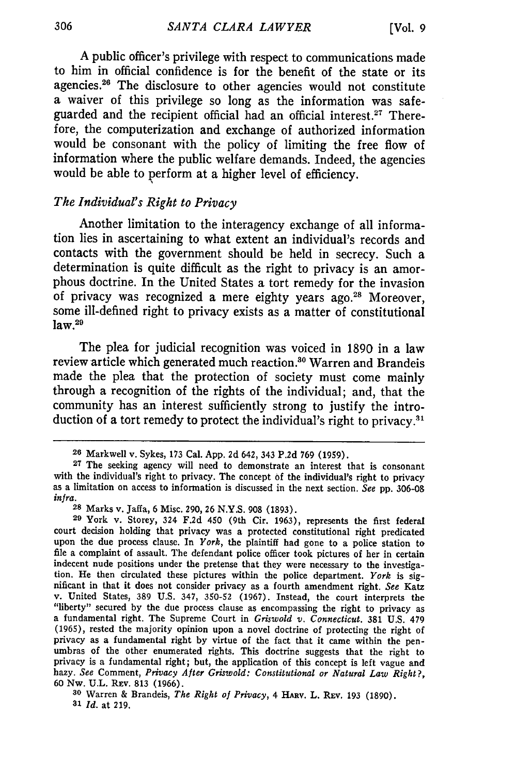A public officer's privilege with respect to communications made to him in official confidence is for the benefit of the state or its agencies.<sup>26</sup> The disclosure to other agencies would not constitute a waiver of this privilege so long as the information was safeguarded and the recipient official had an official interest.<sup>27</sup> Therefore, the computerization and exchange of authorized information would be consonant with the policy of limiting the free flow of information where the public welfare demands. Indeed, the agencies would be able to perform at a higher level of efficiency.

## *The Individual's Right to Privacy*

Another limitation to the interagency exchange of all information lies in ascertaining to what extent an individual's records and contacts with the government should be held in secrecy. Such a determination is quite difficult as the right to privacy is an amorphous doctrine. In the United States a tort remedy for the invasion of privacy was recognized a mere eighty years ago.<sup>28</sup> Moreover, some ill-defined right to privacy exists as a matter of constitutional  $law.<sup>29</sup>$ 

The plea for judicial recognition was voiced in **1890** in a law review article which generated much reaction.<sup>30</sup> Warren and Brandeis made the plea that the protection of society must come mainly through a recognition of the rights of the individual; and, that the community has an interest sufficiently strong to justify the introduction of a tort remedy to protect the individual's right to privacy.<sup>31</sup>

**<sup>20</sup>** Markwell v. Sykes, 173 Cal. App. **2d** 642, 343 P.2d 769 (1959).

**<sup>27</sup>**The seeking agency will need to demonstrate an interest that is consonant with the individual's right to privacy. The concept of the individual's right to privacy as a limitation on access to information is discussed in the next section. *See* pp. 306-08 *infra.*

**<sup>28</sup>** Marks v. Jaffa, 6 Misc. 290, 26 **N.Y.S. 908** (1893).

**<sup>29</sup>**York v. Storey, 324 **F.2d** 450 (9th Cir. 1963), represents the first federal court decision holding that privacy was a protected constitutional right predicated upon the due process clause. In *York,* the plaintiff had gone to a police station to file a complaint of assault. The defendant police officer took pictures of her in certain indecent nude positions under the pretense that they were necessary to the investigation. He then circulated these pictures within the police department. *York* is significant in that it does not consider privacy as a fourth amendment right. *See* Katz v. United States, **389 U.S.** 347, 350-52 (1967). Instead, the court interprets the "liberty" secured **by** the due process clause as encompassing the right to privacy as a fundamental right. The Supreme Court in *Griswold v. Connecticut.* **381** U.S. 479 (1965), rested the majority opinion upon a novel doctrine of protecting the right of privacy as a fundamental right **by** virtue of the fact that it came within the penumbras of the other enumerated rights. This doctrine suggests that the right to privacy is a fundamental right; but, the application of this concept is left vague and hazy. *See* Comment, *Privacy After Griswold: Constitutional or Natural Law Right?,* 60 Nw. U.L. REv. 813 (1966).

<sup>&</sup>lt;sup>30</sup> Warren & Brandeis, *The Right of Privacy*, 4 HARV. L. REV. 193 (1890). **31** *Id.* at 219.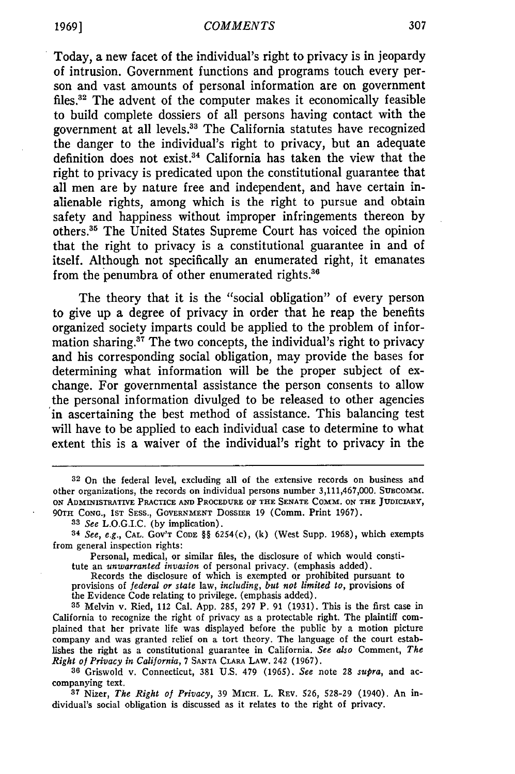Today, a new facet of the individual's right to privacy is in jeopardy of intrusion. Government functions and programs touch every person and vast amounts of personal information are on government files. $32$  The advent of the computer makes it economically feasible to build complete dossiers of all persons having contact with the government at all levels.<sup>33</sup> The California statutes have recognized the danger to the individual's right to privacy, but an adequate definition does not exist.<sup>34</sup> California has taken the view that the right to privacy is predicated upon the constitutional guarantee that all men are by nature free and independent, and have certain inalienable rights, among which is the right to pursue and obtain safety and happiness without improper infringements thereon by others.<sup>35</sup> The United States Supreme Court has voiced the opinion that the right to privacy is a constitutional guarantee in and of itself. Although not specifically an enumerated right, it emanates from the penumbra of other enumerated rights.<sup>36</sup>

The theory that it is the "social obligation" of every person to give up a degree of privacy in order that he reap the benefits organized society imparts could be applied to the problem of information sharing. $37$  The two concepts, the individual's right to privacy and his corresponding social obligation, may provide the bases for determining what information will be the proper subject of exchange. For governmental assistance the person consents to allow the personal information divulged to be released to other agencies in ascertaining the best method of assistance. This balancing test will have to be applied to each individual case to determine to what extent this is a waiver of the individual's right to privacy in the

**<sup>32</sup>** On the federal level, excluding all of the extensive records on business and other organizations, the records on individual persons number **3,111,467,000. SUBCOMM. ON** ADMINISTRATIVE PRACTICE **AND** PROCEDURE OF THE SENATE COMM. ON **THE** JUDICIARY, 90TH CONG., 1ST SESS., GOVERNMENT DOSSIER 19 (Comm. Print 1967).

**<sup>33</sup>** *See* L.O.G.I.C. (by implication).

**<sup>34</sup>** *See, e.g.,* **CAL.** GOV'T CODE §§ 6254(c), (k) (West Supp. 1968), which exempts from general inspection rights:

Personal, medical, or similar files, the disclosure of which would constitute an *unwarranted invasion* of personal privacy. (emphasis added).

Records the disclosure of which is exempted or prohibited pursuant to provisions of *federal or state* law, *including, but not limited to,* provisions of the Evidence Code relating to privilege. (emphasis added).

**<sup>35</sup>** Melvin v. Ried, 112 Cal. App. 285, 297 P. 91 (1931). This is the first case in California to recognize the right of privacy as a protectable right. The plaintiff complained that her private life was displayed before the public by a motion picture company and was granted relief on a tort theory. The language of the court establishes the right as a constitutional guarantee in California. *See also* Comment, *The Right of Privacy in California,* 7 SANTA CLARA LAW. 242 (1967).

**<sup>36</sup>** Griswold v. Connecticut, 381 U.S. 479 (1965). *See* note 28 *supra,* and accompanying text.

**<sup>37</sup>** Nizer, *The Right of Privacy,* 39 MICH. L. REV. 526, 528-29 (1940). An individual's social obligation is discussed as it relates to the right of privacy.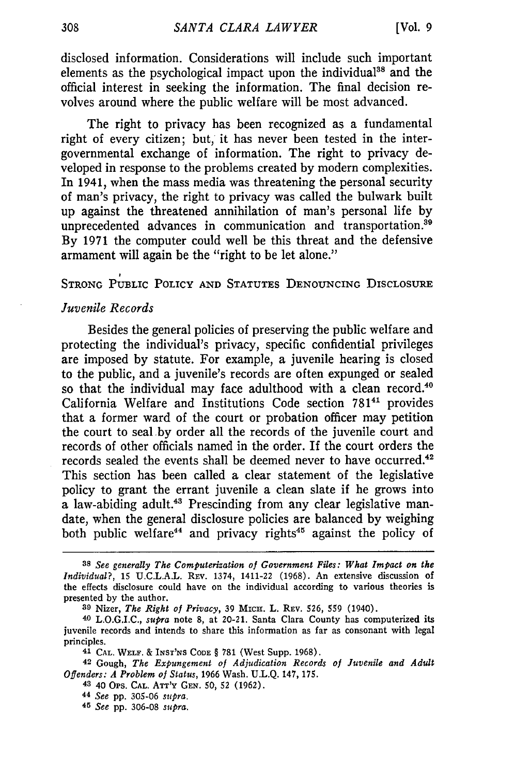disclosed information. Considerations will include such important elements as the psychological impact upon the individual<sup>38</sup> and the official interest in seeking the information. The final decision revolves around where the public welfare will be most advanced.

The right to privacy has been recognized as a fundamental right of every citizen; but, it has never been tested in the intergovernmental exchange of information. The right to privacy developed in response to the problems created by modern complexities. In 1941, when the mass media was threatening the personal security of man's privacy, the right to privacy was called the bulwark built up against the threatened annihilation of man's personal life by unprecedented advances in communication and transportation.<sup>39</sup> By 1971 the computer could well be this threat and the defensive armament will again be the "right to be let alone."

STRONG PUBLIC POLICY AND STATUTES DENOUNCING DISCLOSURE

#### *Juvenile Records*

Besides the general policies of preserving the public welfare and protecting the individual's privacy, specific confidential privileges are imposed by statute. For example, a juvenile hearing is closed to the public, and a juvenile's records are often expunged or sealed so that the individual may face adulthood with a clean record.<sup>40</sup> California Welfare and Institutions Code section 78141 provides that a former ward of the court or probation officer may petition the court to seal .by order all the records of the juvenile court and records of other officials named in the order. If the court orders the records sealed the events shall be deemed never to have occurred.<sup>42</sup> This section has been called a clear statement of the legislative policy to grant the errant juvenile a clean slate if he grows into a law-abiding adult.<sup>43</sup> Prescinding from any clear legislative mandate, when the general disclosure policies are balanced by weighing both public welfare<sup>44</sup> and privacy rights<sup>45</sup> against the policy of

*<sup>38</sup> See generally The Computerization of Government Files: What Impact on the Individual?,* 15 U.C.L.A.L. REV. 1374, 1411-22 (1968). An extensive discussion of the effects disclosure could have on the individual according to various theories is presented by the author.

**<sup>39</sup>** Nizer, *The Right of Privacy,* **39** Micir. L. REv. 526, 559 (1940).

**<sup>40</sup>** L.O.G.I.C., *supra* note 8, at 20-21. Santa Clara County has computerized its juvenile records and intends to share this information as far as consonant with legal principles.

**<sup>41</sup> CAL. WELF.** & INST'NS **CODE** § 781 (West Supp. 1968).

<sup>42</sup> Gough, *The Expungement of Adjudication Records of Juvenile and Adult Offenders: A Problem of Status,* 1966 Wash. U.L.Q. 147, **175.**

**<sup>43</sup>**40 Ops. CAL. Ar'y GEN. 50, 52 (1962).

**<sup>44</sup>** *See* pp. 305-06 *supra.*

*<sup>45</sup> See* pp. 306-08 *supra.*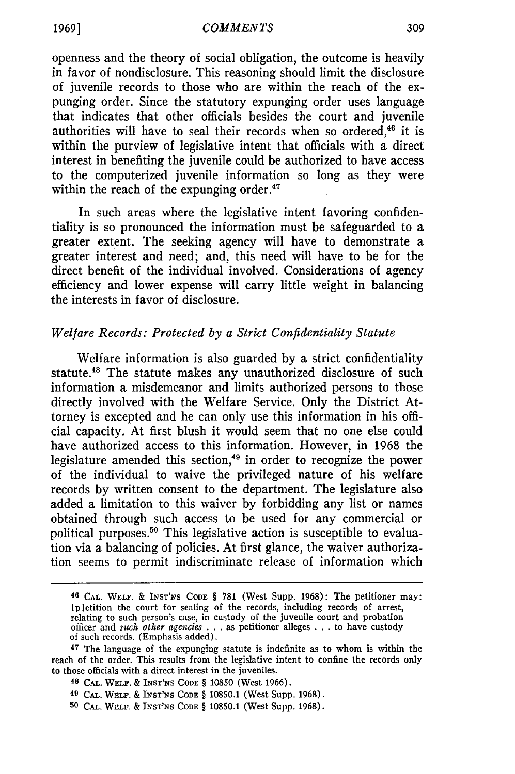openness and the theory of social obligation, the outcome is heavily in favor of nondisclosure. This reasoning should limit the disclosure of juvenile records to those who are within the reach of the expunging order. Since the statutory expunging order uses language that indicates that other officials besides the court and juvenile authorities will have to seal their records when so ordered, $46$  it is within the purview of legislative intent that officials with a direct interest in benefiting the juvenile could be authorized to have access to the computerized juvenile information so long as they were within the reach of the expunging order. $47$ 

In such areas where the legislative intent favoring confidentiality is so pronounced the information must be safeguarded to a greater extent. The seeking agency will have to demonstrate a greater interest and need; and, this need will have to be for the direct benefit of the individual involved. Considerations of agency efficiency and lower expense will carry little weight in balancing the interests in favor of disclosure.

### *Welfare Records: Protected by a Strict Confidentiality Statute*

Welfare information is also guarded by a strict confidentiality statute.<sup>48</sup> The statute makes any unauthorized disclosure of such information a misdemeanor and limits authorized persons to those directly involved with the Welfare Service. Only the District Attorney is excepted and he can only use this information in his official capacity. At first blush it would seem that no one else could have authorized access to this information. However, in 1968 the legislature amended this section,<sup>49</sup> in order to recognize the power of the individual to waive the privileged nature of his welfare records by written consent to the department. The legislature also added a limitation to this waiver by forbidding any list or names obtained through such access to be used for any commercial or political purposes.50 This legislative action is susceptible to evaluation via a balancing of policies. At first glance, the waiver authorization seems to permit indiscriminate release of information which

- **48 CAL.** WELr. & **INST'NS CODE** § **10850** (West **1966).**
- **49 CAL.** WELF. & INST'NS **CODE** § 10850.1 (West Supp. 1968).
- **50 CAL.** *WELF.* & **INST'NS CODE** § 10850.1 (West Supp. 1968).

**<sup>46</sup> CAL. WELF.** & **INST'NS CODE** § 781 (West Supp. 1968): The petitioner may: [pletition the court for sealing of the records, including records of arrest, relating to such person's case, in custody of the juvenile court and probation officer and *such other agencies* **. .** *.* as petitioner alleges **. . .** to have custody of such records. (Emphasis added).

**<sup>47</sup>** The language of the expunging statute is indefinite as to whom is within the reach of the order. This results from the legislative intent to confine the records only to those officials with a direct interest in the juveniles.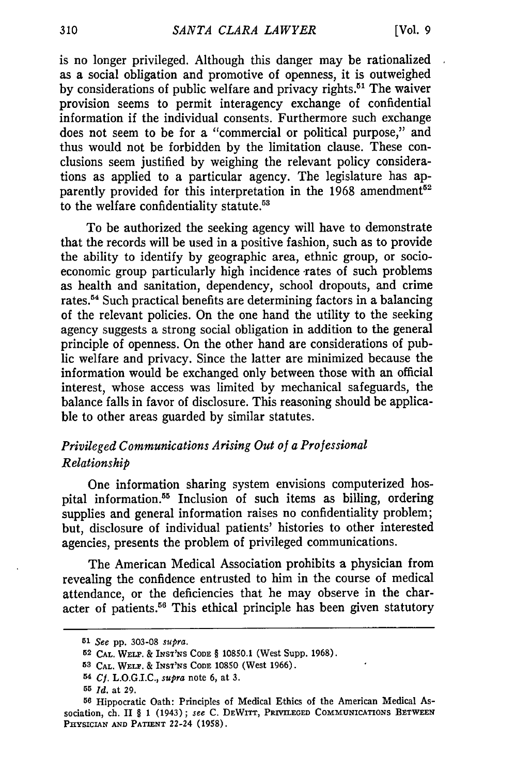is no longer privileged. Although this danger may be rationalized as a social obligation and promotive of openness, it is outweighed by considerations of public welfare and privacy rights.<sup>51</sup> The waiver provision seems to permit interagency exchange of confidential information if the individual consents. Furthermore such exchange does not seem to be for a "commercial or political purpose," and thus would not be forbidden by the limitation clause. These conclusions seem justified by weighing the relevant policy considerations as applied to a particular agency. The legislature has apparently provided for this interpretation in the  $1968$  amendment<sup>52</sup> to the welfare confidentiality statute.<sup>53</sup>

To be authorized the seeking agency will have to demonstrate that the records will be used in a positive fashion, such as to provide the ability to identify by geographic area, ethnic group, or socioeconomic group particularly high incidence rates of such problems as health and sanitation, dependency, school dropouts, and crime rates.<sup>54</sup> Such practical benefits are determining factors in a balancing of the relevant policies. On the one hand the utility to the seeking agency suggests a strong social obligation in addition to the general principle of openness. On the other hand are considerations of public welfare and privacy. Since the latter are minimized because the information would be exchanged only between those with an official interest, whose access was limited by mechanical safeguards, the balance falls in favor of disclosure. This reasoning should be applicable to other areas guarded by similar statutes.

## *Privileged Communications Arising Out of a Professional Relationship*

One information sharing system envisions computerized hospital information.<sup>55</sup> Inclusion of such items as billing, ordering supplies and general information raises no confidentiality problem; but, disclosure of individual patients' histories to other interested agencies, presents the problem of privileged communications.

The American Medical Association prohibits a physician from revealing the confidence entrusted to him in the course of medical attendance, or the deficiencies that he may observe in the character of patients.<sup>56</sup> This ethical principle has been given statutory

**<sup>51</sup>***See* pp. 303-08 *supra.*

**<sup>52</sup> CAL.** WELF. & INST'NS **CODE** § **10850.1** (West Supp. 1968).

**<sup>53</sup> CAL.** WELT. & **INST'NS CODE 10850** (West 1966).

**<sup>54</sup>** *Cf.* L.O.G.I.C., *supra* note 6, at **3.**

**<sup>55</sup>***Id.* at 29.

**<sup>56</sup>** Hippocratic Oath: Principles of Medical Ethics of the American Medical Association, ch. II § 1 (1943); *see* C. DEWITr, **PRIVILEGED** COMMUNICATIONS **BETWEEN PHYSICIAN AND PATIENT** 22-24 **(1958).**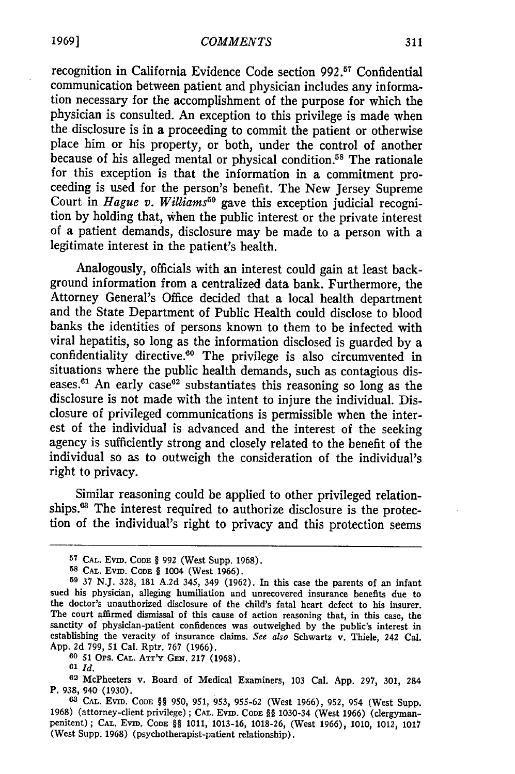recognition in California Evidence Code section 992.<sup>57</sup> Confidentia communication between patient and physician includes any information necessary for the accomplishment of the purpose for which the physician is consulted. An exception to this privilege is made when the disclosure is in a proceeding to commit the patient or otherwise place him or his property, or both, under the control of another because of his alleged mental or physical condition.<sup>58</sup> The rationale for this exception is that the information in a commitment proceeding is used for the person's benefit. The New Jersey Supreme Court in *Hague v. Williams*<sup>59</sup> gave this exception judicial recognition by holding that, When the public interest or the private interest of a patient demands, disclosure may be made to a person with a legitimate interest in the patient's health.

Analogously, officials with an interest could gain at least background information from a centralized data bank. Furthermore, the Attorney General's Office decided that a local health department and the State Department of Public Health could disclose to blood banks the identities of persons known to them to be infected with viral hepatitis, so long as the information disclosed is guarded by a confidentiality directive.<sup>60</sup> The privilege is also circumvented in situations where the public health demands, such as contagious diseases. $61$  An early case $62$  substantiates this reasoning so long as the disclosure is not made with the intent to injure the individual. Disclosure of privileged communications is permissible when the interest of the individual is advanced and the interest of the seeking agency is sufficiently strong and closely related to the benefit of the individual so as to outweigh the consideration of the individual's right to privacy.

Similar reasoning could be applied to other privileged relationships.<sup>63</sup> The interest required to authorize disclosure is the protection of the individual's right to privacy and this protection seems

**60 51** OPs. **CAL.** ATr'Y **GEN.** 217 (1968).

*<sup>61</sup>Id.*

**<sup>57</sup> CAL.** Evm. **CODE** § **992** (West Supp. 1968).

**<sup>58</sup> CAL.** Evin. **CODE** *§* 1004 (West 1966).

**<sup>59</sup>**37 N.J. 328, 181 A.2d 345, 349 (1962). In this case the parents of an infant sued his physician, alleging humiliation and unrecovered insurance benefits due to the doctor's unauthorized disclosure of the child's fatal heart defect to his insurer. The court affirmed dismissal of this cause of action reasoning that, in this case, the sanctity of physician-patient confidences was outweighed by the public's interest in establishing the veracity of insurance claims. *See also* Schwartz v. Thiele, 242 Cal. App. 2d 799, 51 Cal. Rptr. 767 (1966).

**<sup>62</sup>**McPheeters v. Board of Medical Examiners, 103 Cal. **App. 297, 301,** 284 P. **938,** 940 (1930).

**<sup>6</sup> CAL.** EviD. **CODE** *§§* 950, 951, 953, 955-62 (West 1966), 952, 954 (West Supp. 1968) (attorney-client privilege) **; CAL.** Evin. **CODE** *§§* 1030-34 (West 1966) (clergymanpenitent) ; **CAL.** Evm. CODE *§§* 1011, 1013-16, 1018-26, (West 1966), 1010, 1012, 1017 (West Supp. 1968) (psychotherapist-patient relationship).